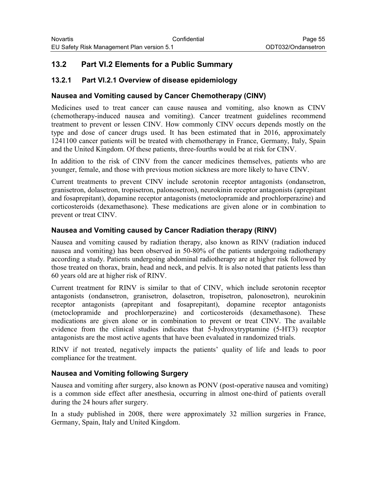# **13.2 Part VI.2 Elements for a Public Summary**

### **13.2.1 Part VI.2.1 Overview of disease epidemiology**

#### **Nausea and Vomiting caused by Cancer Chemotherapy (CINV)**

Medicines used to treat cancer can cause nausea and vomiting, also known as CINV (chemotherapy-induced nausea and vomiting). Cancer treatment guidelines recommend treatment to prevent or lessen CINV. How commonly CINV occurs depends mostly on the type and dose of cancer drugs used. It has been estimated that in 2016, approximately 1241100 cancer patients will be treated with chemotherapy in France, Germany, Italy, Spain and the United Kingdom. Of these patients, three-fourths would be at risk for CINV.

In addition to the risk of CINV from the cancer medicines themselves, patients who are younger, female, and those with previous motion sickness are more likely to have CINV.

Current treatments to prevent CINV include serotonin receptor antagonists (ondansetron, granisetron, dolasetron, tropisetron, palonosetron), neurokinin receptor antagonists (aprepitant and fosaprepitant), dopamine receptor antagonists (metoclopramide and prochlorperazine) and corticosteroids (dexamethasone). These medications are given alone or in combination to prevent or treat CINV.

### **Nausea and Vomiting caused by Cancer Radiation therapy (RINV)**

Nausea and vomiting caused by radiation therapy, also known as RINV (radiation induced nausea and vomiting) has been observed in 50-80% of the patients undergoing radiotherapy according a study. Patients undergoing abdominal radiotherapy are at higher risk followed by those treated on thorax, brain, head and neck, and pelvis. It is also noted that patients less than 60 years old are at higher risk of RINV.

Current treatment for RINV is similar to that of CINV, which include serotonin receptor antagonists (ondansetron, granisetron, dolasetron, tropisetron, palonosetron), neurokinin receptor antagonists (aprepitant and fosaprepitant), dopamine receptor antagonists (metoclopramide and prochlorperazine) and corticosteroids (dexamethasone). These medications are given alone or in combination to prevent or treat CINV. The available evidence from the clinical studies indicates that 5-hydroxytryptamine (5-HT3) receptor antagonists are the most active agents that have been evaluated in randomized trials.

RINV if not treated, negatively impacts the patients' quality of life and leads to poor compliance for the treatment.

#### **Nausea and Vomiting following Surgery**

Nausea and vomiting after surgery, also known as PONV (post-operative nausea and vomiting) is a common side effect after anesthesia, occurring in almost one-third of patients overall during the 24 hours after surgery.

In a study published in 2008, there were approximately 32 million surgeries in France, Germany, Spain, Italy and United Kingdom.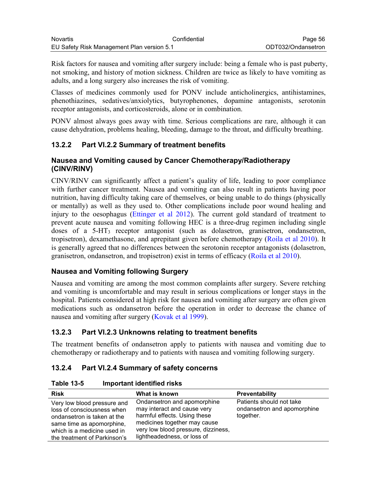Risk factors for nausea and vomiting after surgery include: being a female who is past puberty, not smoking, and history of motion sickness. Children are twice as likely to have vomiting as adults, and a long surgery also increases the risk of vomiting.

Classes of medicines commonly used for PONV include anticholinergics, antihistamines, phenothiazines, sedatives/anxiolytics, butyrophenones, dopamine antagonists, serotonin receptor antagonists, and corticosteroids, alone or in combination.

PONV almost always goes away with time. Serious complications are rare, although it can cause dehydration, problems healing, bleeding, damage to the throat, and difficulty breathing.

# **13.2.2 Part VI.2.2 Summary of treatment benefits**

### **Nausea and Vomiting caused by Cancer Chemotherapy/Radiotherapy (CINV/RINV)**

CINV/RINV can significantly affect a patient's quality of life, leading to poor compliance with further cancer treatment. Nausea and vomiting can also result in patients having poor nutrition, having difficulty taking care of themselves, or being unable to do things (physically or mentally) as well as they used to. Other complications include poor wound healing and injury to the oesophagus (Ettinger et al 2012). The current gold standard of treatment to prevent acute nausea and vomiting following HEC is a three-drug regimen including single doses of a 5-HT<sup>3</sup> receptor antagonist (such as dolasetron, granisetron, ondansetron, tropisetron), dexamethasone, and aprepitant given before chemotherapy (Roila et al 2010). It is generally agreed that no differences between the serotonin receptor antagonists (dolasetron, granisetron, ondansetron, and tropisetron) exist in terms of efficacy (Roila et al 2010).

## **Nausea and Vomiting following Surgery**

Nausea and vomiting are among the most common complaints after surgery. Severe retching and vomiting is uncomfortable and may result in serious complications or longer stays in the hospital. Patients considered at high risk for nausea and vomiting after surgery are often given medications such as ondansetron before the operation in order to decrease the chance of nausea and vomiting after surgery (Kovak et al 1999).

# **13.2.3 Part VI.2.3 Unknowns relating to treatment benefits**

The treatment benefits of ondansetron apply to patients with nausea and vomiting due to chemotherapy or radiotherapy and to patients with nausea and vomiting following surgery.

# **13.2.4 Part VI.2.4 Summary of safety concerns**

**Table 13-5 Important identified risks**

| <b>Risk</b>                                                                                                                                                                          | What is known                                                                                                                                                                                    | <b>Preventability</b>                                                |
|--------------------------------------------------------------------------------------------------------------------------------------------------------------------------------------|--------------------------------------------------------------------------------------------------------------------------------------------------------------------------------------------------|----------------------------------------------------------------------|
| Very low blood pressure and<br>loss of consciousness when<br>ondansetron is taken at the<br>same time as apomorphine,<br>which is a medicine used in<br>the treatment of Parkinson's | Ondansetron and apomorphine<br>may interact and cause very<br>harmful effects. Using these<br>medicines together may cause<br>very low blood pressure, dizziness,<br>lightheadedness, or loss of | Patients should not take<br>ondansetron and apomorphine<br>together. |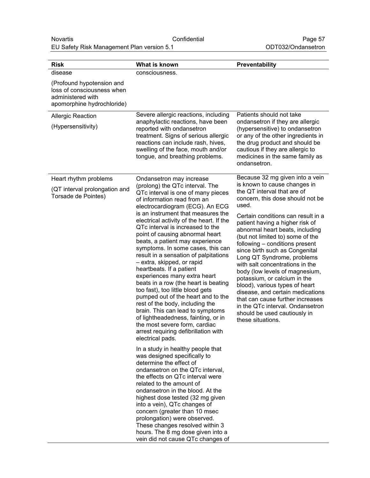| <b>Risk</b>                                                                                                | What is known                                                                                                                                                                                                                                                                                                                                                                                                                                                                                                                                                                                                                                                                                                                                                                                                                                                                                                                                                                                                                                                                                                                                                                                                                                                                                                                                                  | Preventability                                                                                                                                                                                                                                                                                                                                                                                                                                                                                                                                                                                                                                                                                        |
|------------------------------------------------------------------------------------------------------------|----------------------------------------------------------------------------------------------------------------------------------------------------------------------------------------------------------------------------------------------------------------------------------------------------------------------------------------------------------------------------------------------------------------------------------------------------------------------------------------------------------------------------------------------------------------------------------------------------------------------------------------------------------------------------------------------------------------------------------------------------------------------------------------------------------------------------------------------------------------------------------------------------------------------------------------------------------------------------------------------------------------------------------------------------------------------------------------------------------------------------------------------------------------------------------------------------------------------------------------------------------------------------------------------------------------------------------------------------------------|-------------------------------------------------------------------------------------------------------------------------------------------------------------------------------------------------------------------------------------------------------------------------------------------------------------------------------------------------------------------------------------------------------------------------------------------------------------------------------------------------------------------------------------------------------------------------------------------------------------------------------------------------------------------------------------------------------|
| disease                                                                                                    | consciousness.                                                                                                                                                                                                                                                                                                                                                                                                                                                                                                                                                                                                                                                                                                                                                                                                                                                                                                                                                                                                                                                                                                                                                                                                                                                                                                                                                 |                                                                                                                                                                                                                                                                                                                                                                                                                                                                                                                                                                                                                                                                                                       |
| (Profound hypotension and<br>loss of consciousness when<br>administered with<br>apomorphine hydrochloride) |                                                                                                                                                                                                                                                                                                                                                                                                                                                                                                                                                                                                                                                                                                                                                                                                                                                                                                                                                                                                                                                                                                                                                                                                                                                                                                                                                                |                                                                                                                                                                                                                                                                                                                                                                                                                                                                                                                                                                                                                                                                                                       |
| <b>Allergic Reaction</b><br>(Hypersensitivity)                                                             | Severe allergic reactions, including<br>anaphylactic reactions, have been<br>reported with ondansetron<br>treatment. Signs of serious allergic<br>reactions can include rash, hives,<br>swelling of the face, mouth and/or<br>tongue, and breathing problems.                                                                                                                                                                                                                                                                                                                                                                                                                                                                                                                                                                                                                                                                                                                                                                                                                                                                                                                                                                                                                                                                                                  | Patients should not take<br>ondansetron if they are allergic<br>(hypersensitive) to ondansetron<br>or any of the other ingredients in<br>the drug product and should be<br>cautious if they are allergic to<br>medicines in the same family as<br>ondansetron.                                                                                                                                                                                                                                                                                                                                                                                                                                        |
| Heart rhythm problems<br>(QT interval prolongation and<br>Torsade de Pointes)                              | Ondansetron may increase<br>(prolong) the QTc interval. The<br>QTc interval is one of many pieces<br>of information read from an<br>electrocardiogram (ECG). An ECG<br>is an instrument that measures the<br>electrical activity of the heart. If the<br>QTc interval is increased to the<br>point of causing abnormal heart<br>beats, a patient may experience<br>symptoms. In some cases, this can<br>result in a sensation of palpitations<br>- extra, skipped, or rapid<br>heartbeats. If a patient<br>experiences many extra heart<br>beats in a row (the heart is beating<br>too fast), too little blood gets<br>pumped out of the heart and to the<br>rest of the body, including the<br>brain. This can lead to symptoms<br>of lightheadedness, fainting, or in<br>the most severe form, cardiac<br>arrest requiring defibrillation with<br>electrical pads.<br>In a study in healthy people that<br>was designed specifically to<br>determine the effect of<br>ondansetron on the QTc interval,<br>the effects on QTc interval were<br>related to the amount of<br>ondansetron in the blood. At the<br>highest dose tested (32 mg given<br>into a vein), QTc changes of<br>concern (greater than 10 msec<br>prolongation) were observed.<br>These changes resolved within 3<br>hours. The 8 mg dose given into a<br>vein did not cause QTc changes of | Because 32 mg given into a vein<br>is known to cause changes in<br>the QT interval that are of<br>concern, this dose should not be<br>used.<br>Certain conditions can result in a<br>patient having a higher risk of<br>abnormal heart beats, including<br>(but not limited to) some of the<br>following - conditions present<br>since birth such as Congenital<br>Long QT Syndrome, problems<br>with salt concentrations in the<br>body (low levels of magnesium,<br>potassium, or calcium in the<br>blood), various types of heart<br>disease, and certain medications<br>that can cause further increases<br>in the QTc interval. Ondansetron<br>should be used cautiously in<br>these situations. |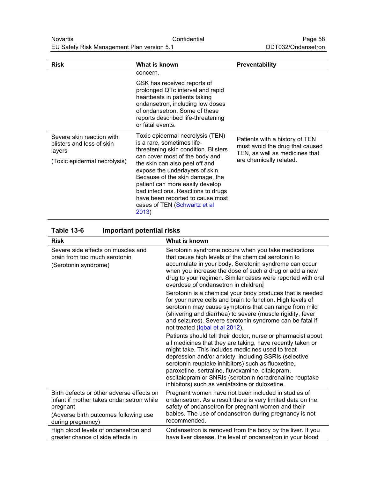| <b>Risk</b>                                                      | What is known                                                                                                                                                                                                                                                                       | <b>Preventability</b>                                                                               |
|------------------------------------------------------------------|-------------------------------------------------------------------------------------------------------------------------------------------------------------------------------------------------------------------------------------------------------------------------------------|-----------------------------------------------------------------------------------------------------|
|                                                                  | concern.                                                                                                                                                                                                                                                                            |                                                                                                     |
|                                                                  | GSK has received reports of<br>prolonged QTc interval and rapid<br>heartbeats in patients taking<br>ondansetron, including low doses<br>of ondansetron. Some of these<br>reports described life-threatening<br>or fatal events.                                                     |                                                                                                     |
| Severe skin reaction with<br>blisters and loss of skin<br>layers | Toxic epidermal necrolysis (TEN)<br>is a rare, sometimes life-<br>threatening skin condition. Blisters                                                                                                                                                                              | Patients with a history of TEN<br>must avoid the drug that caused<br>TEN, as well as medicines that |
| (Toxic epidermal necrolysis)                                     | can cover most of the body and<br>the skin can also peel off and<br>expose the underlayers of skin.<br>Because of the skin damage, the<br>patient can more easily develop<br>bad infections. Reactions to drugs<br>have been reported to cause most<br>cases of TEN (Schwartz et al | are chemically related.                                                                             |

2013)

| <b>Table 13-6</b> | <b>Important potential risks</b> |
|-------------------|----------------------------------|
|-------------------|----------------------------------|

| <b>Risk</b>                                                                                                                                                     | What is known                                                                                                                                                                                                                                                                                                                                                                                                                                                   |
|-----------------------------------------------------------------------------------------------------------------------------------------------------------------|-----------------------------------------------------------------------------------------------------------------------------------------------------------------------------------------------------------------------------------------------------------------------------------------------------------------------------------------------------------------------------------------------------------------------------------------------------------------|
| Severe side effects on muscles and<br>brain from too much serotonin<br>(Serotonin syndrome)                                                                     | Serotonin syndrome occurs when you take medications<br>that cause high levels of the chemical serotonin to<br>accumulate in your body. Serotonin syndrome can occur<br>when you increase the dose of such a drug or add a new<br>drug to your regimen. Similar cases were reported with oral<br>overdose of ondansetron in children.                                                                                                                            |
|                                                                                                                                                                 | Serotonin is a chemical your body produces that is needed<br>for your nerve cells and brain to function. High levels of<br>serotonin may cause symptoms that can range from mild<br>(shivering and diarrhea) to severe (muscle rigidity, fever<br>and seizures). Severe serotonin syndrome can be fatal if<br>not treated (Iqbal et al 2012).                                                                                                                   |
|                                                                                                                                                                 | Patients should tell their doctor, nurse or pharmacist about<br>all medicines that they are taking, have recently taken or<br>might take. This includes medicines used to treat<br>depression and/or anxiety, including SSRIs (selective<br>serotonin reuptake inhibitors) such as fluoxetine,<br>paroxetine, sertraline, fluvoxamine, citalopram,<br>escitalopram or SNRIs (serotonin noradrenaline reuptake<br>inhibitors) such as venlafaxine or duloxetine. |
| Birth defects or other adverse effects on<br>infant if mother takes ondansetron while<br>pregnant<br>(Adverse birth outcomes following use<br>during pregnancy) | Pregnant women have not been included in studies of<br>ondansetron. As a result there is very limited data on the<br>safety of ondansetron for pregnant women and their<br>babies. The use of ondansetron during pregnancy is not<br>recommended.                                                                                                                                                                                                               |
| High blood levels of ondansetron and<br>greater chance of side effects in                                                                                       | Ondansetron is removed from the body by the liver. If you<br>have liver disease, the level of ondansetron in your blood                                                                                                                                                                                                                                                                                                                                         |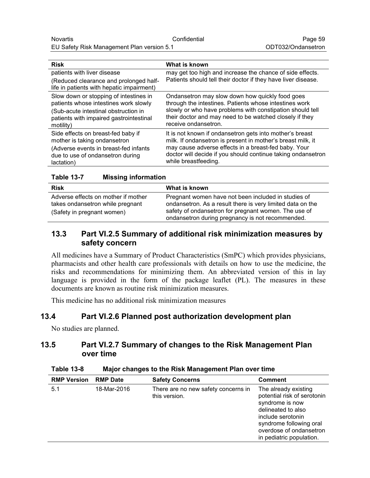| What is known                                                                                                                                |
|----------------------------------------------------------------------------------------------------------------------------------------------|
| may get too high and increase the chance of side effects.                                                                                    |
| Patients should tell their doctor if they have liver disease.                                                                                |
| Ondansetron may slow down how quickly food goes<br>through the intestines. Patients whose intestines work                                    |
| slowly or who have problems with constipation should tell<br>their doctor and may need to be watched closely if they<br>receive ondansetron. |
| It is not known if ondansetron gets into mother's breast<br>milk. If ondansetron is present in mother's breast milk, it                      |
| may cause adverse effects in a breast-fed baby. Your<br>doctor will decide if you should continue taking ondansetron<br>while breastfeeding. |
|                                                                                                                                              |

| <b>Table 13-7</b> | <b>Missing information</b> |
|-------------------|----------------------------|
|                   |                            |

| <b>Risk</b>                                                                                           | What is known                                                                                                                                                                                                                 |
|-------------------------------------------------------------------------------------------------------|-------------------------------------------------------------------------------------------------------------------------------------------------------------------------------------------------------------------------------|
| Adverse effects on mother if mother<br>takes ondansetron while pregnant<br>(Safety in pregnant women) | Pregnant women have not been included in studies of<br>ondansetron. As a result there is very limited data on the<br>safety of ondansetron for pregnant women. The use of<br>ondansetron during pregnancy is not recommended. |

## **13.3 Part VI.2.5 Summary of additional risk minimization measures by safety concern**

All medicines have a Summary of Product Characteristics (SmPC) which provides physicians, pharmacists and other health care professionals with details on how to use the medicine, the risks and recommendations for minimizing them. An abbreviated version of this in lay language is provided in the form of the package leaflet (PL). The measures in these documents are known as routine risk minimization measures.

This medicine has no additional risk minimization measures

## **13.4 Part VI.2.6 Planned post authorization development plan**

No studies are planned.

## **13.5 Part VI.2.7 Summary of changes to the Risk Management Plan over time**

| .                  | $m$ alor originalized to the rudit management run over this |                                                      |                                                                                                                                                                                                     |
|--------------------|-------------------------------------------------------------|------------------------------------------------------|-----------------------------------------------------------------------------------------------------------------------------------------------------------------------------------------------------|
| <b>RMP Version</b> | <b>RMP Date</b>                                             | <b>Safety Concerns</b>                               | <b>Comment</b>                                                                                                                                                                                      |
| 5.1                | 18-Mar-2016                                                 | There are no new safety concerns in<br>this version. | The already existing<br>potential risk of serotonin<br>syndrome is now<br>delineated to also<br>include serotonin<br>syndrome following oral<br>overdose of ondansetron<br>in pediatric population. |

**Table 13-8 Major changes to the Risk Management Plan over time**